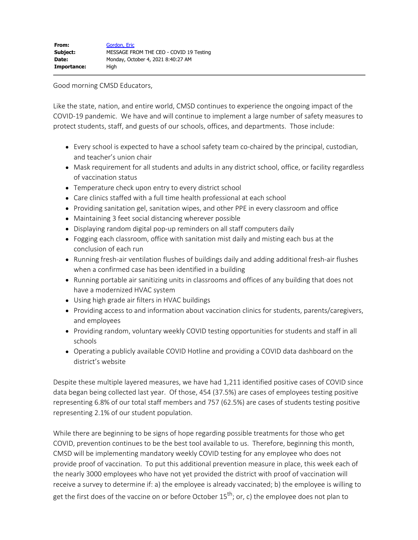Good morning CMSD Educators,

Like the state, nation, and entire world, CMSD continues to experience the ongoing impact of the COVID-19 pandemic. We have and will continue to implement a large number of safety measures to protect students, staff, and guests of our schools, offices, and departments. Those include:

- Every school is expected to have a school safety team co-chaired by the principal, custodian, and teacher's union chair
- Mask requirement for all students and adults in any district school, office, or facility regardless of vaccination status
- Temperature check upon entry to every district school
- Care clinics staffed with a full time health professional at each school
- Providing sanitation gel, sanitation wipes, and other PPE in every classroom and office
- Maintaining 3 feet social distancing wherever possible
- Displaying random digital pop-up reminders on all staff computers daily
- Fogging each classroom, office with sanitation mist daily and misting each bus at the conclusion of each run
- Running fresh-air ventilation flushes of buildings daily and adding additional fresh-air flushes when a confirmed case has been identified in a building
- Running portable air sanitizing units in classrooms and offices of any building that does not have a modernized HVAC system
- Using high grade air filters in HVAC buildings
- Providing access to and information about vaccination clinics for students, parents/caregivers, and employees
- Providing random, voluntary weekly COVID testing opportunities for students and staff in all schools
- Operating a publicly available COVID Hotline and providing a COVID data dashboard on the district's website

Despite these multiple layered measures, we have had 1,211 identified positive cases of COVID since data began being collected last year. Of those, 454 (37.5%) are cases of employees testing positive representing 6.8% of our total staff members and 757 (62.5%) are cases of students testing positive representing 2.1% of our student population.

While there are beginning to be signs of hope regarding possible treatments for those who get COVID, prevention continues to be the best tool available to us. Therefore, beginning this month, CMSD will be implementing mandatory weekly COVID testing for any employee who does not provide proof of vaccination. To put this additional prevention measure in place, this week each of the nearly 3000 employees who have not yet provided the district with proof of vaccination will receive a survey to determine if: a) the employee is already vaccinated; b) the employee is willing to get the first does of the vaccine on or before October  $15^{th}$ ; or, c) the employee does not plan to